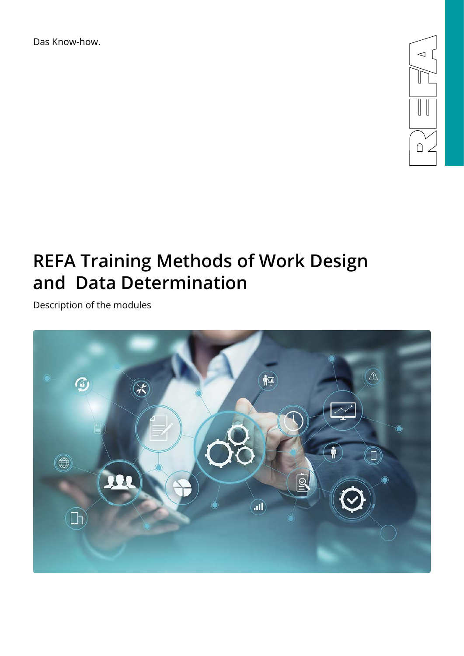Das Know-how.



# **REFA Training Methods of Work Design and Data Determination**

Description of the modules

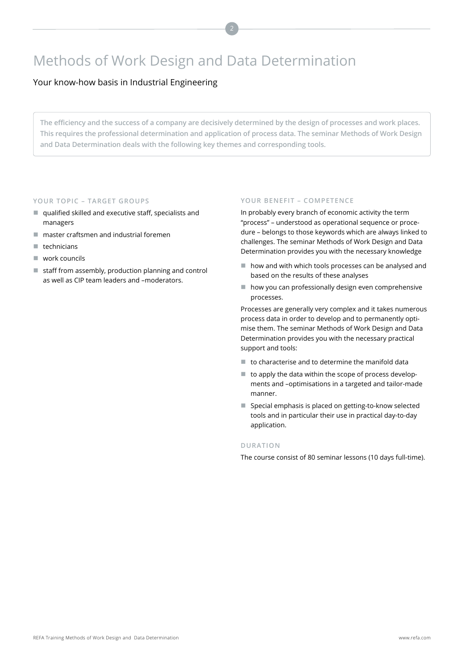## Methods of Work Design and Data Determination

Your know-how basis in Industrial Engineering

**The efficiency and the success of a company are decisively determined by the design of processes and work places. This requires the professional determination and application of process data. The seminar Methods of Work Design and Data Determination deals with the following key themes and corresponding tools.** 

#### **YOUR TOPIC – TARGET GROUPS**

- qualified skilled and executive staff, specialists and managers
- master craftsmen and industrial foremen
- technicians
- work councils
- staff from assembly, production planning and control as well as CIP team leaders and –moderators.

### **YOUR BENEFIT – COMPETENCE**

In probably every branch of economic activity the term "process" – understood as operational sequence or procedure – belongs to those keywords which are always linked to challenges. The seminar Methods of Work Design and Data Determination provides you with the necessary knowledge

- how and with which tools processes can be analysed and based on the results of these analyses
- how you can professionally design even comprehensive processes.

Processes are generally very complex and it takes numerous process data in order to develop and to permanently optimise them. The seminar Methods of Work Design and Data Determination provides you with the necessary practical support and tools:

- $\blacksquare$  to characterise and to determine the manifold data
- to apply the data within the scope of process developments and –optimisations in a targeted and tailor-made manner.
- Special emphasis is placed on getting-to-know selected tools and in particular their use in practical day-to-day application.

#### **DURATION**

The course consist of 80 seminar lessons (10 days full-time).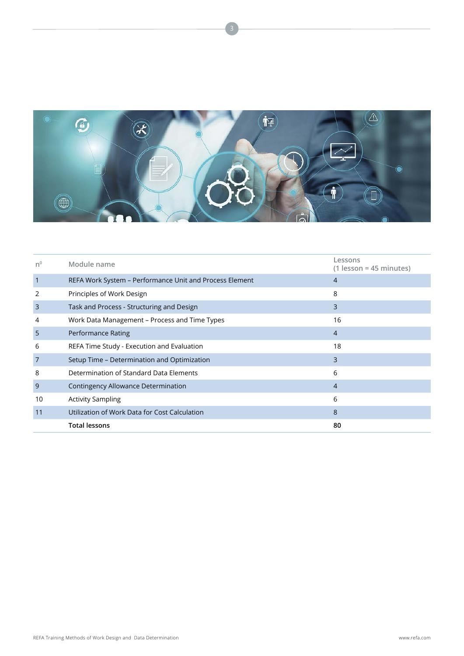

| n <sup>0</sup> | Module name                                             | Lessons<br>$(1$ lesson = 45 minutes) |
|----------------|---------------------------------------------------------|--------------------------------------|
| $\overline{1}$ | REFA Work System – Performance Unit and Process Element | $\overline{4}$                       |
| 2              | Principles of Work Design                               | 8                                    |
| $\overline{3}$ | Task and Process - Structuring and Design               | 3                                    |
| 4              | Work Data Management – Process and Time Types           | 16                                   |
| 5              | Performance Rating                                      | $\overline{4}$                       |
| 6              | REFA Time Study - Execution and Evaluation              | 18                                   |
| 7              | Setup Time – Determination and Optimization             | 3                                    |
| 8              | Determination of Standard Data Elements                 | 6                                    |
| 9              | Contingency Allowance Determination                     | $\overline{4}$                       |
| 10             | <b>Activity Sampling</b>                                | 6                                    |
| 11             | Utilization of Work Data for Cost Calculation           | 8                                    |
|                | <b>Total lessons</b>                                    | 80                                   |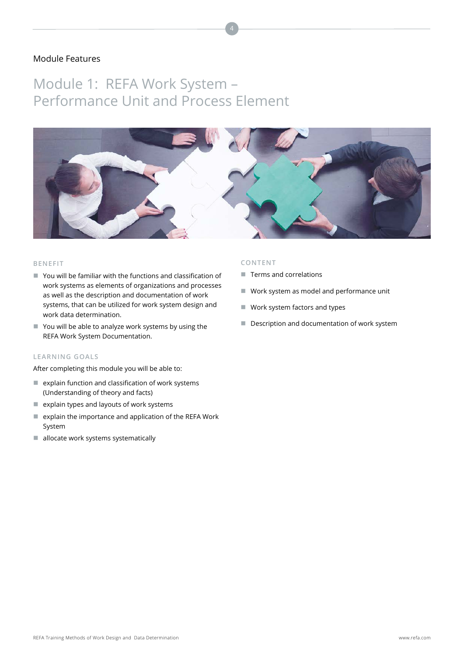## Module 1: REFA Work System – Performance Unit and Process Element



#### **BENEFIT**

- You will be familiar with the functions and classification of work systems as elements of organizations and processes as well as the description and documentation of work systems, that can be utilized for work system design and work data determination.
- You will be able to analyze work systems by using the REFA Work System Documentation.

#### **LEARNING GOALS**

After completing this module you will be able to:

- $\blacksquare$  explain function and classification of work systems (Understanding of theory and facts)
- $\blacksquare$  explain types and layouts of work systems
- $e$  explain the importance and application of the REFA Work System
- allocate work systems systematically

- $\blacksquare$  Terms and correlations
- Work system as model and performance unit
- Work system factors and types
- Description and documentation of work system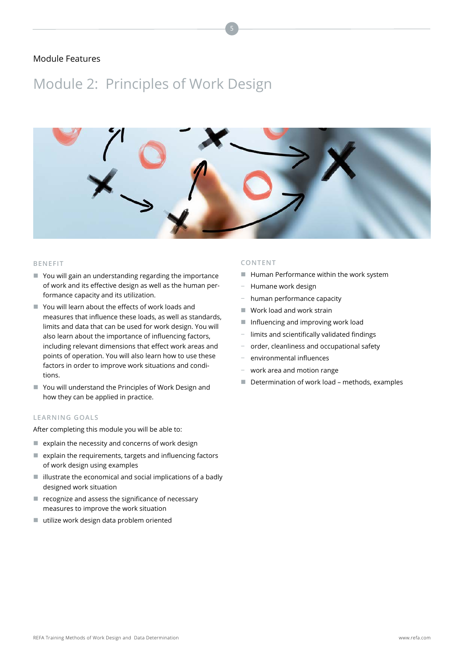## Module 2: Principles of Work Design



#### **BENEFIT**

- You will gain an understanding regarding the importance of work and its effective design as well as the human performance capacity and its utilization.
- You will learn about the effects of work loads and measures that influence these loads, as well as standards, limits and data that can be used for work design. You will also learn about the importance of influencing factors, including relevant dimensions that effect work areas and points of operation. You will also learn how to use these factors in order to improve work situations and conditions.
- You will understand the Principles of Work Design and how they can be applied in practice.

#### **LEARNING GOALS**

After completing this module you will be able to:

- $\blacksquare$  explain the necessity and concerns of work design
- $\blacksquare$  explain the requirements, targets and influencing factors of work design using examples
- $\blacksquare$  illustrate the economical and social implications of a badly designed work situation
- recognize and assess the significance of necessary measures to improve the work situation
- utilize work design data problem oriented

- **Human Performance within the work system**
- − Humane work design
- − human performance capacity
- Work load and work strain
- Influencing and improving work load
- limits and scientifically validated findings
- − order, cleanliness and occupational safety
- − environmental influences
- − work area and motion range
- Determination of work load methods, examples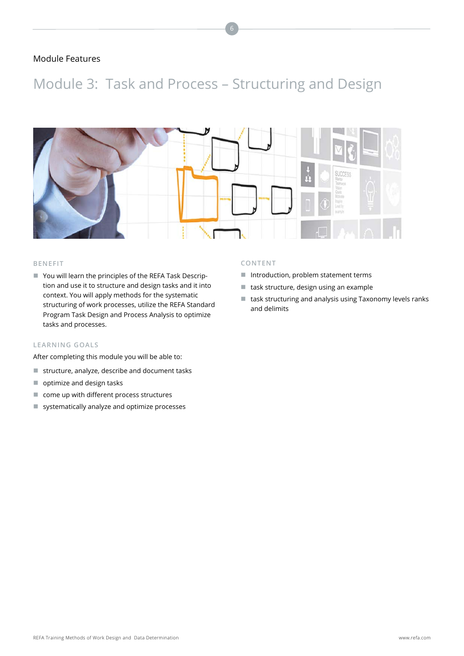## Module 3: Task and Process – Structuring and Design



#### **BENEFIT**

■ You will learn the principles of the REFA Task Description and use it to structure and design tasks and it into context. You will apply methods for the systematic structuring of work processes, utilize the REFA Standard Program Task Design and Process Analysis to optimize tasks and processes.

### **LEARNING GOALS**

After completing this module you will be able to:

- structure, analyze, describe and document tasks
- optimize and design tasks
- come up with different process structures
- systematically analyze and optimize processes

- Introduction, problem statement terms
- $\blacksquare$  task structure, design using an example
- task structuring and analysis using Taxonomy levels ranks and delimits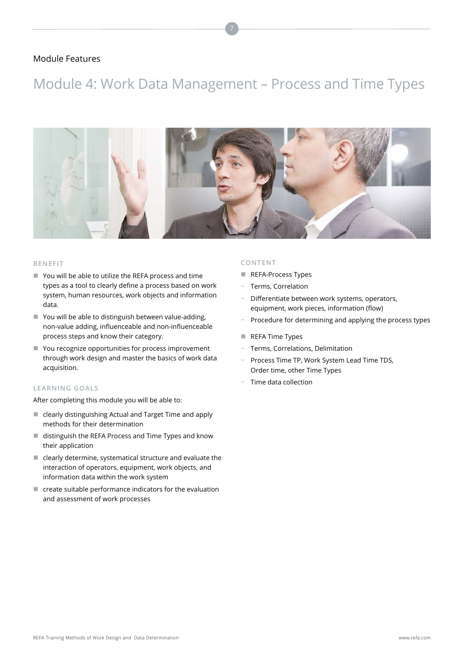## Module 4: Work Data Management – Process and Time Types



#### **BENEFIT**

- You will be able to utilize the REFA process and time types as a tool to clearly define a process based on work system, human resources, work objects and information data.
- You will be able to distinguish between value-adding, non-value adding, influenceable and non-influenceable process steps and know their category.
- You recognize opportunities for process improvement through work design and master the basics of work data acquisition.

#### **LEARNING GOALS**

After completing this module you will be able to:

- clearly distinguishing Actual and Target Time and apply methods for their determination
- distinguish the REFA Process and Time Types and know their application
- $\blacksquare$  clearly determine, systematical structure and evaluate the interaction of operators, equipment, work objects, and information data within the work system
- $\blacksquare$  create suitable performance indicators for the evaluation and assessment of work processes

- REFA-Process Types
- − Terms, Correlation
- − Differentiate between work systems, operators, equipment, work pieces, information (flow)
- Procedure for determining and applying the process types
- REFA Time Types
- − Terms, Correlations, Delimitation
- − Process Time TP, Work System Lead Time TDS, Order time, other Time Types
- − Time data collection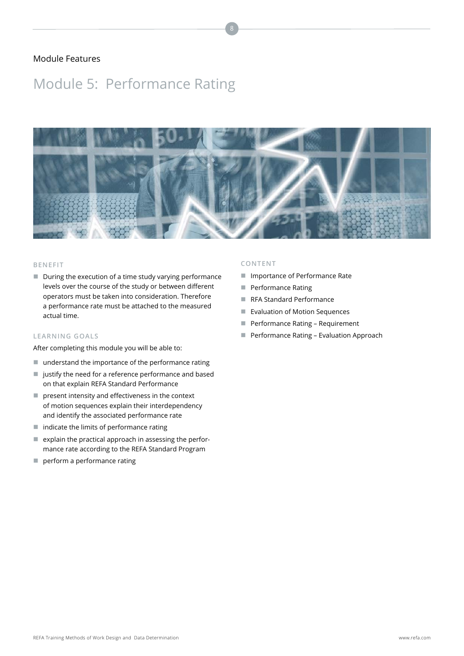## Module 5: Performance Rating



#### **BENEFIT**

During the execution of a time study varying performance levels over the course of the study or between different operators must be taken into consideration. Therefore a performance rate must be attached to the measured actual time.

### **LEARNING GOALS**

After completing this module you will be able to:

- understand the importance of the performance rating
- ustify the need for a reference performance and based on that explain REFA Standard Performance
- **P** present intensity and effectiveness in the context of motion sequences explain their interdependency and identify the associated performance rate
- $\blacksquare$  indicate the limits of performance rating
- $\blacksquare$  explain the practical approach in assessing the performance rate according to the REFA Standard Program
- perform a performance rating

- **Importance of Performance Rate**
- **Performance Rating**
- RFA Standard Performance
- **Exaluation of Motion Sequences**
- **Performance Rating Requirement**
- **Performance Rating Evaluation Approach**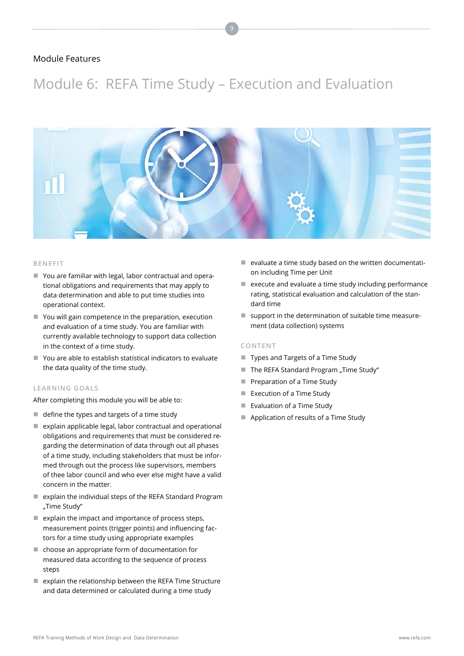## Module 6: REFA Time Study – Execution and Evaluation



#### **BENEFIT**

- You are familiar with legal, labor contractual and operational obligations and requirements that may apply to data determination and able to put time studies into operational context.
- You will gain competence in the preparation, execution and evaluation of a time study. You are familiar with currently available technology to support data collection in the context of a time study.
- You are able to establish statistical indicators to evaluate the data quality of the time study.

#### **LEARNING GOALS**

After completing this module you will be able to:

- $\blacksquare$  define the types and targets of a time study
- $\blacksquare$  explain applicable legal, labor contractual and operational obligations and requirements that must be considered regarding the determination of data through out all phases of a time study, including stakeholders that must be informed through out the process like supervisors, members of thee labor council and who ever else might have a valid concern in the matter.
- explain the individual steps of the REFA Standard Program "Time Study"
- $\blacksquare$  explain the impact and importance of process steps, measurement points (trigger points) and influencing factors for a time study using appropriate examples
- choose an appropriate form of documentation for measured data according to the sequence of process steps
- $\blacksquare$  explain the relationship between the REFA Time Structure and data determined or calculated during a time study
- $\blacksquare$  evaluate a time study based on the written documentation including Time per Unit
- $\blacksquare$  execute and evaluate a time study including performance rating, statistical evaluation and calculation of the standard time
- support in the determination of suitable time measurement (data collection) systems

- Types and Targets of a Time Study
- The REFA Standard Program "Time Study"
- **Preparation of a Time Study**
- Execution of a Time Study
- Evaluation of a Time Study
- Application of results of a Time Study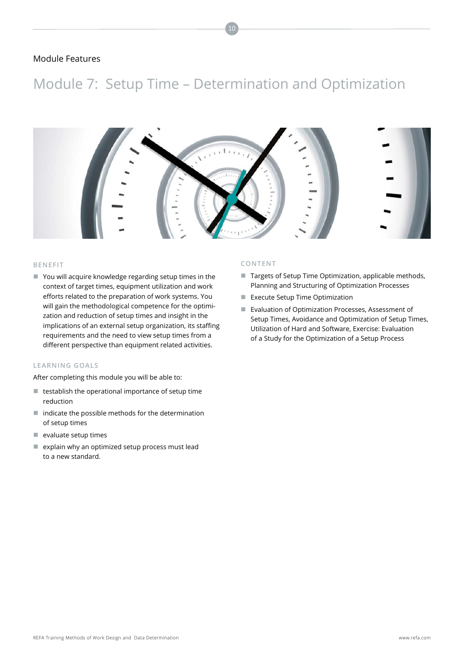## Module 7: Setup Time – Determination and Optimization

10



#### **BENEFIT**

■ You will acquire knowledge regarding setup times in the context of target times, equipment utilization and work efforts related to the preparation of work systems. You will gain the methodological competence for the optimization and reduction of setup times and insight in the implications of an external setup organization, its staffing requirements and the need to view setup times from a different perspective than equipment related activities.

### **LEARNING GOALS**

After completing this module you will be able to:

- $\blacksquare$  testablish the operational importance of setup time reduction
- $\blacksquare$  indicate the possible methods for the determination of setup times
- $\blacksquare$  evaluate setup times
- $e$  explain why an optimized setup process must lead to a new standard.

- Targets of Setup Time Optimization, applicable methods, Planning and Structuring of Optimization Processes
- **EXECUTE Setup Time Optimization**
- **Exaluation of Optimization Processes, Assessment of** Setup Times, Avoidance and Optimization of Setup Times, Utilization of Hard and Software, Exercise: Evaluation of a Study for the Optimization of a Setup Process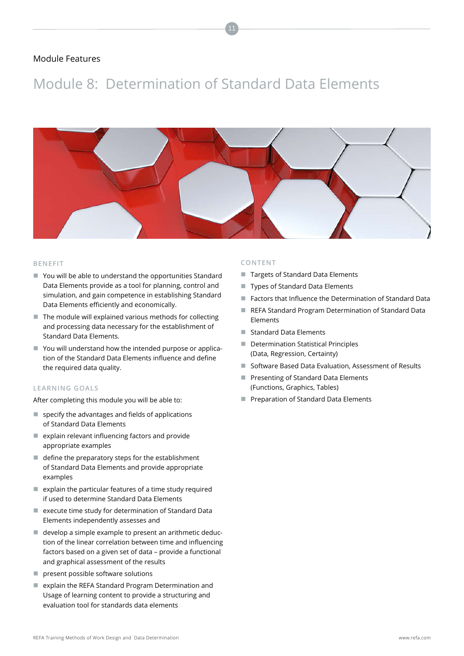## Module 8: Determination of Standard Data Elements



#### **BENEFIT**

- You will be able to understand the opportunities Standard Data Elements provide as a tool for planning, control and simulation, and gain competence in establishing Standard Data Elements efficiently and economically.
- $\blacksquare$  The module will explained various methods for collecting and processing data necessary for the establishment of Standard Data Elements.
- You will understand how the intended purpose or application of the Standard Data Elements influence and define the required data quality.

#### **LEARNING GOALS**

After completing this module you will be able to:

- $\blacksquare$  specify the advantages and fields of applications of Standard Data Elements
- $\blacksquare$  explain relevant influencing factors and provide appropriate examples
- define the preparatory steps for the establishment of Standard Data Elements and provide appropriate examples
- $\blacksquare$  explain the particular features of a time study required if used to determine Standard Data Elements
- execute time study for determination of Standard Data Elements independently assesses and
- develop a simple example to present an arithmetic deduction of the linear correlation between time and influencing factors based on a given set of data – provide a functional and graphical assessment of the results
- **P** present possible software solutions
- explain the REFA Standard Program Determination and Usage of learning content to provide a structuring and evaluation tool for standards data elements

- Targets of Standard Data Elements
- Types of Standard Data Elements
- Factors that Influence the Determination of Standard Data
- REFA Standard Program Determination of Standard Data Elements
- Standard Data Elements
- Determination Statistical Principles (Data, Regression, Certainty)
- Software Based Data Evaluation, Assessment of Results
- **Presenting of Standard Data Elements** (Functions, Graphics, Tables)
- **Preparation of Standard Data Elements**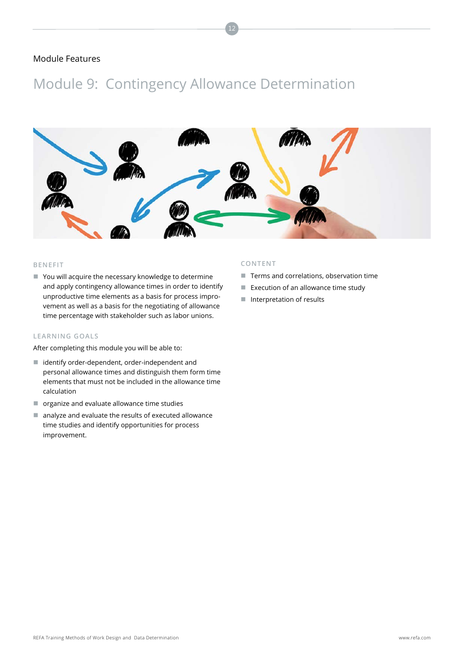## Module 9: Contingency Allowance Determination



12

#### **BENEFIT**

■ You will acquire the necessary knowledge to determine and apply contingency allowance times in order to identify unproductive time elements as a basis for process improvement as well as a basis for the negotiating of allowance time percentage with stakeholder such as labor unions.

### **LEARNING GOALS**

After completing this module you will be able to:

- identify order-dependent, order-independent and personal allowance times and distinguish them form time elements that must not be included in the allowance time calculation
- $\blacksquare$  organize and evaluate allowance time studies
- $\blacksquare$  analyze and evaluate the results of executed allowance time studies and identify opportunities for process improvement.

- Terms and correlations, observation time
- Execution of an allowance time study
- $\blacksquare$  Interpretation of results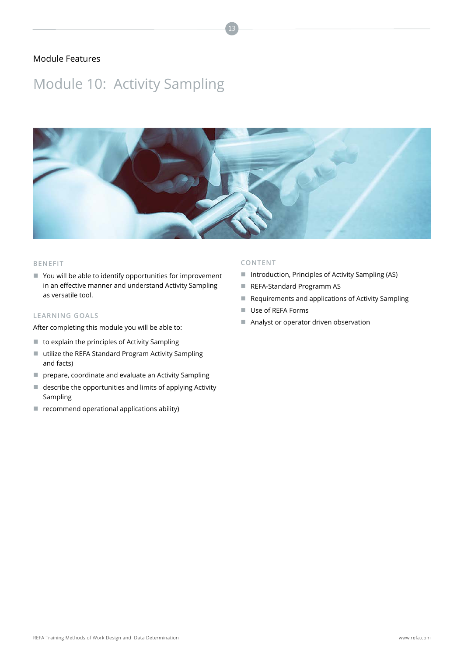## Module 10: Activity Sampling



13

#### **BENEFIT**

■ You will be able to identify opportunities for improvement in an effective manner and understand Activity Sampling as versatile tool.

### **LEARNING GOALS**

After completing this module you will be able to:

- to explain the principles of Activity Sampling
- utilize the REFA Standard Program Activity Sampling and facts)
- **P** prepare, coordinate and evaluate an Activity Sampling
- describe the opportunities and limits of applying Activity Sampling
- $\blacksquare$  recommend operational applications ability)

- Introduction, Principles of Activity Sampling (AS)
- REFA-Standard Programm AS
- Requirements and applications of Activity Sampling
- Use of REFA Forms
- Analyst or operator driven observation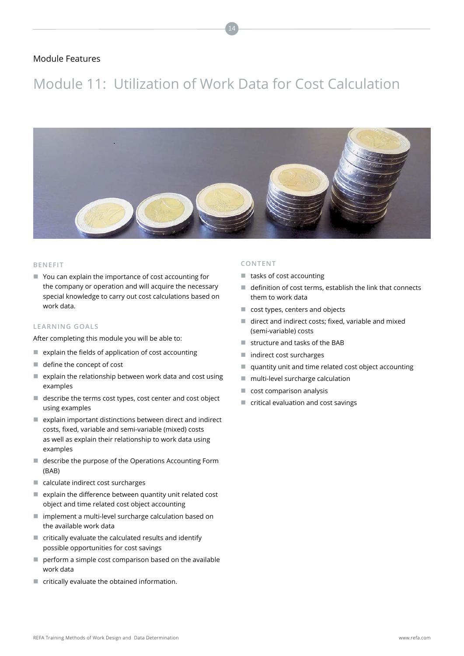## Module 11: Utilization of Work Data for Cost Calculation

14



#### **BENEFIT**

■ You can explain the importance of cost accounting for the company or operation and will acquire the necessary special knowledge to carry out cost calculations based on work data.

#### **LEARNING GOALS**

After completing this module you will be able to:

- $\blacksquare$  explain the fields of application of cost accounting
- define the concept of cost
- $\blacksquare$  explain the relationship between work data and cost using examples
- describe the terms cost types, cost center and cost object using examples
- $\blacksquare$  explain important distinctions between direct and indirect costs, fixed, variable and semi-variable (mixed) costs as well as explain their relationship to work data using examples
- describe the purpose of the Operations Accounting Form (BAB)
- calculate indirect cost surcharges
- $\blacksquare$  explain the difference between quantity unit related cost object and time related cost object accounting
- implement a multi-level surcharge calculation based on the available work data
- $\blacksquare$  critically evaluate the calculated results and identify possible opportunities for cost savings
- $\blacksquare$  perform a simple cost comparison based on the available work data
- $\blacksquare$  critically evaluate the obtained information.

- $\blacksquare$  tasks of cost accounting
- $\blacksquare$  definition of cost terms, establish the link that connects them to work data
- cost types, centers and objects
- direct and indirect costs; fixed, variable and mixed (semi-variable) costs
- structure and tasks of the BAB
- indirect cost surcharges
- quantity unit and time related cost object accounting
- multi-level surcharge calculation
- cost comparison analysis
- critical evaluation and cost savings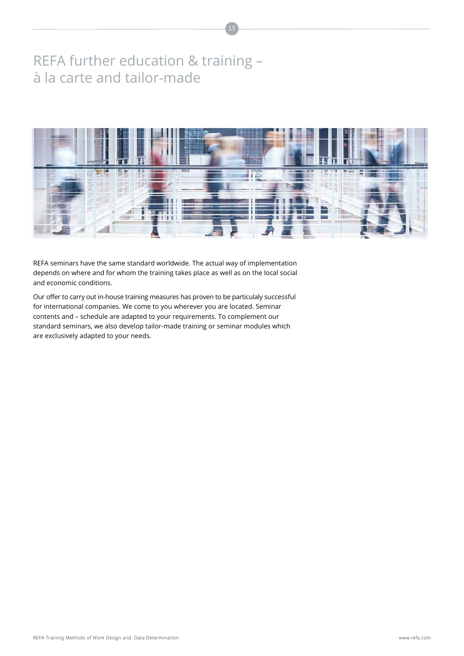## REFA further education & training – à la carte and tailor-made



15

REFA seminars have the same standard worldwide. The actual way of implementation depends on where and for whom the training takes place as well as on the local social and economic conditions.

Our offer to carry out in-house training measures has proven to be particulaly successful for international companies. We come to you wherever you are located. Seminar contents and – schedule are adapted to your requirements. To complement our standard seminars, we also develop tailor-made training or seminar modules which are exclusively adapted to your needs.